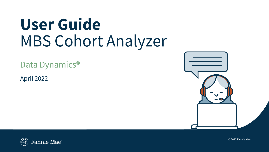# **User Guide** MBS Cohort Analyzer

Data Dynamics®

April 2022





© 2022 Fannie Mae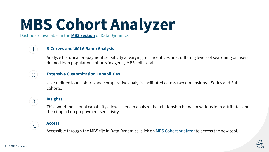# **MBS Cohort Analyzer**

Dashboard available in the **[MBS section](https://datadynamics.fanniemae.com/data-dynamics/#/reportMenu;category=MBS)** of Data Dynamics



Analyze historical prepayment sensitivity at varying refi incentives or at differing levels of seasoning on userdefined loan population cohorts in agency MBS collateral.

# **Extensive Customization Capabilities**

User defined loan cohorts and comparative analysis facilitated across two dimensions – Series and Subcohorts.

# 3

 $\overline{4}$ 

 $\mathbf 1$ 

 $\mathcal{Z}$ 

**Insights** 

This two-dimensional capability allows users to analyze the relationship between various loan attributes and their impact on prepayment sensitivity.

# **Access**

Accessible through the MBS tile in Data Dynamics, click on [MBS Cohort Analyzer](https://datadynamics.fanniemae.com/data-dynamics/#/reportMenu;category=MBS) to access the new tool.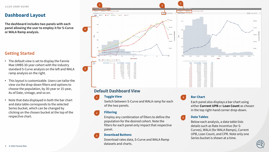# **Dashboard Layout**

**The dashboard includes two panels with each panel allowing the user to employ it for S-Curve or WALA Ramp analysis.** 

# **Getting Started**

- The default view is set to display the Fannie Mae UMBS 30-year cohort with the industry standard S-Curve analysis on the left and WALA ramp analysis on the right.
- This layout is customizable. Users can tailor the view via the drop-down filters and options to choose the population, by 30-year or 15-year, As-of Date, vintage, and so on.
- Note that data displayed in both the bar chart and data table corresponds to the selected Series bucket, which can be changed by clicking on the chosen bucket at the top of the respective chart.



# **Default Dashboard View**

#### **Toggle View**

**1**

**3**

Switch between S-Curve and WALA ramp for each of the two panels.

#### **Filtering 2**

Employ any combination of filters to define the population for the desired cohort. Note the filters for each panel only impact that respective panel.

#### **Download Buttons**

Download rates data, S-Curve and WALA Ramp datasets and charts.

### **Bar Chart**

**4**

**5**

Each panel also displays a bar chart using either **Current UPB** or **Loan Count** as chosen in the top right-hand corner drop-down.

#### **Data Tables**

Below each analysis, a data table lists details such as Rate Incentive (for S-Curves), WALA (for WALA Ramps), Current UPB, Loan Count, and CPR. Note only one Series bucket is shown at a time.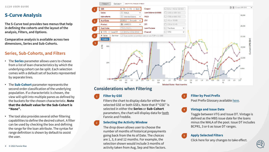# **S-Curve Analysis**

**The S-Curve tool provides two menus that help in defining the cohorts and the layout of the analysis, Filters, and Options.** 

**Comparative analysis is available across two dimensions, Series and Sub-Cohorts.** 

# **Series, Sub-Cohorts, and Filters**

- The **Series** parameter allows users to choose from a list of loan characteristics by which the underlying cohort can be split. Each selection comes with a default set of buckets represented by separate lines.
- The **Sub-Cohort** parameter represents the second order classification of the underlying population. If a characteristic is chosen, the view will split into multiple panes as defined by the buckets for the chosen characteristic. **Note that the default value for the Sub-Cohort is "None".**
- The tool also provides several other filtering capabilities to define the desired cohort. A filter can be used by checking the box and defining the range for the loan attribute. The syntax for range definition is shown by default to assist the user.



# **Considerations when Filtering**

#### **Filter by GSE 1**

**2**

Filters the chart to display data for either the selected GSE or both GSEs. Note that if "GSE" is selected in either the **Series** or **Sub-Cohort** parameters, the chart will display data for both Fannie and Freddie.

#### **Selecting the Activity Window**

The drop down allows user to choose the number of months of historical prepayments going back from the As of Date. The choices are 1, 3, 6 and 12 months. For example, the selection shown would include 3 months of activity taken from Aug, Sep and Nov factors.

#### **Filter by Pool Prefix**

**4**

**5**

**3**

Pool Prefix Glossary available [here.](https://capitalmarkets.fanniemae.com/resources/file/mbs/pdf/pool-prefix-glossary.pdf)

#### **Vintage and Issue Date**

Toggle between VTG and Issue DT. Vintage is defined as the MBS issue date for the loans minus the WALA of the pool. Issue DT includes BCPR1, 3 or 6 as Issue DT ranges.

#### **Apply Selected Filters**

Click here for any changes to take effect.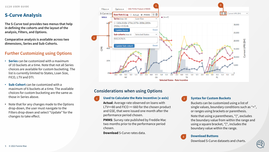# **S-Curve Analysis**

**The S-Curve tool provides two menus that help in defining the cohorts and the layout of the analysis, Filters, and Options.** 

**Comparative analysis is available across two dimensions, Series and Sub-Cohorts.** 

# **Further Customizing using Options**

- **Series** can be customized with a maximum of 10 buckets at a time. Note that not all Series choices are available for custom bucketing. The list is currently limited to States, Loan Size, FICO, LTV and DTI.
- **Sub-Cohort** can be customized with a maximum of 6 buckets at a time. The available choices for custom bucketing are the same as those in Series above.
- Note that for any changes made to the Options drop-down, the user must navigate to the Filters drop-down and select "Update" for the changes to take effect.



# **Considerations when using Options**

#### **Used to Calculate the Rate Incentive (x-axis) 1 2**

**Actual**: Average rate observed on loans with LTV<=80 and FICO >= 660 for the chosen product and GSE, that were issued one month after the performance period chosen.

**PMMS**: Survey rate published by Freddie Mac two months prior to the performance period chosen.

**Download** S-Curve rates data.

#### **Syntax for Custom Buckets**

Buckets can be customized using a list of single values, boundary conditions such as "<", or ranges using brackets or parenthesis.

Note that using a parentheses, "(", excludes the boundary value from within the range and using a square bracket, "[", includes the boundary value within the range.



#### **Download Buttons**

Download S-Curve datasets and charts.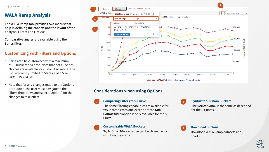# **WALA Ramp Analysis**

**The WALA Ramp tool provides two menus that help in defining the cohorts and the layout of the analysis, Filters and Options.** 

**Comparative analysis is available using the Series filter.** 

# **Customizing with Filters and Options**

- **Series** can be customized with a maximum of 10 buckets at a time. Note that not all Series choices are available for custom bucketing. The list is currently limited to States, Loan Size, FICO, LTV and DTI.
- Note that for any changes made to the Options drop-down, the user must navigate to the Filters drop-down and select "Update" for the changes to take effect.



# **Considerations when using Options**

### **Comparing Filters to S-Curve**

**1**

**2**

The same filtering capabilities are available for WALA ramps with one exception: the **Sub-Cohort** filter/option is only available for the S-Curve.

#### **Customizable WALA Buckets**

3-, 4-, 5-, or 10-year range can be chosen, which will drive the x-axis.

# **3**

**4**

#### **Syntax for Custom Buckets**

The **Series** syntax is the same as described for the S-Curves.

```
Download Buttons
```
Download WALA Ramp datasets and charts.